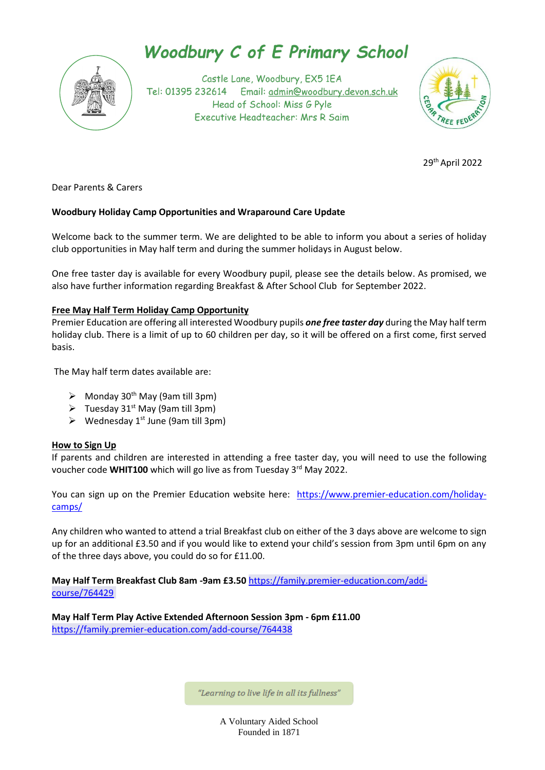

# **Woodbury C of E Primary School**

Castle Lane, Woodbury, EX5 1EA Tel: 01395 232614 Email: admin@woodbury.devon.sch.uk Head of School: Miss G Pyle Executive Headteacher: Mrs R Saim



<u>29 and 20 and 20 and 20 and 20 and 20 and 20 and 20 and 20 and 20 and 20 and 20 and 20 and 20 and 20 and 20 a</u> 29<sup>th</sup> April 2022

Dear Parents & Carers

### **Woodbury Holiday Camp Opportunities and Wraparound Care Update**

Welcome back to the summer term. We are delighted to be able to inform you about a series of holiday club opportunities in May half term and during the summer holidays in August below.

One free taster day is available for every Woodbury pupil, please see the details below. As promised, we also have further information regarding Breakfast & After School Club for September 2022.

### **Free May Half Term Holiday Camp Opportunity**

Premier Education are offering all interested Woodbury pupils *one free taster day* during the May half term holiday club. There is a limit of up to 60 children per day, so it will be offered on a first come, first served basis.

The May half term dates available are:

- $\triangleright$  Monday 30<sup>th</sup> May (9am till 3pm)
- $\triangleright$  Tuesday 31<sup>st</sup> May (9am till 3pm)
- $\triangleright$  Wednesday 1<sup>st</sup> June (9am till 3pm)

### **How to Sign Up**

If parents and children are interested in attending a free taster day, you will need to use the following voucher code WHIT100 which will go live as from Tuesday 3<sup>rd</sup> May 2022.

You can sign up on the Premier Education website here: [https://www.premier-education.com/holiday](https://www.premier-education.com/holiday-camps/)[camps/](https://www.premier-education.com/holiday-camps/)

Any children who wanted to attend a trial Breakfast club on either of the 3 days above are welcome to sign up for an additional £3.50 and if you would like to extend your child's session from 3pm until 6pm on any of the three days above, you could do so for £11.00.

**May Half Term Breakfast Club 8am -9am £3.50** [https://family.premier-education.com/add](https://family.premier-education.com/add-course/764429)[course/764429](https://family.premier-education.com/add-course/764429)

**May Half Term Play Active Extended Afternoon Session 3pm - 6pm £11.00** <https://family.premier-education.com/add-course/764438>

"Learning to live life in all its fullness"

A Voluntary Aided School Founded in 1871